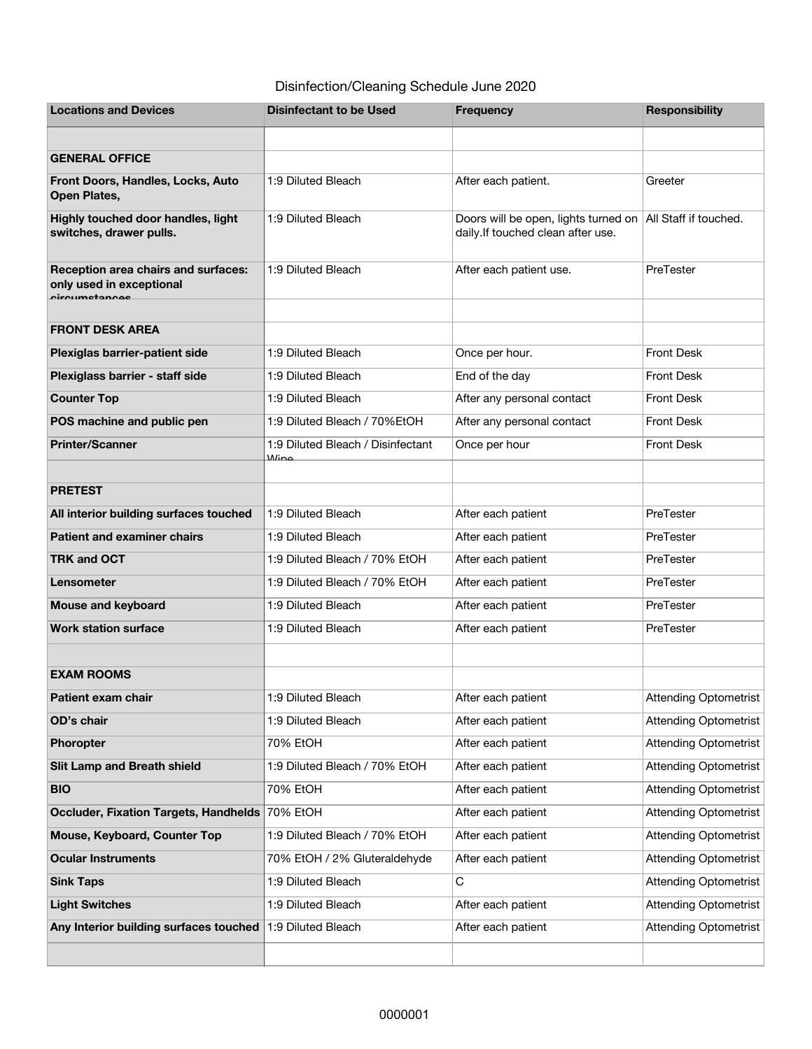## Disinfection/Cleaning Schedule June 2020

| <b>Locations and Devices</b>                                                     | <b>Disinfectant to be Used</b>            | <b>Frequency</b>                                                          | <b>Responsibility</b> |
|----------------------------------------------------------------------------------|-------------------------------------------|---------------------------------------------------------------------------|-----------------------|
|                                                                                  |                                           |                                                                           |                       |
| <b>GENERAL OFFICE</b>                                                            |                                           |                                                                           |                       |
| Front Doors, Handles, Locks, Auto<br>Open Plates,                                | 1:9 Diluted Bleach                        | After each patient.                                                       | Greeter               |
| Highly touched door handles, light<br>switches, drawer pulls.                    | 1:9 Diluted Bleach                        | Doors will be open, lights turned on<br>daily.If touched clean after use. | All Staff if touched. |
| Reception area chairs and surfaces:<br>only used in exceptional<br>oiroumetanoee | 1:9 Diluted Bleach                        | After each patient use.                                                   | PreTester             |
|                                                                                  |                                           |                                                                           |                       |
| <b>FRONT DESK AREA</b>                                                           |                                           |                                                                           |                       |
| Plexiglas barrier-patient side                                                   | 1:9 Diluted Bleach                        | Once per hour.                                                            | <b>Front Desk</b>     |
| Plexiglass barrier - staff side                                                  | 1:9 Diluted Bleach                        | End of the day                                                            | <b>Front Desk</b>     |
| <b>Counter Top</b>                                                               | 1:9 Diluted Bleach                        | After any personal contact                                                | <b>Front Desk</b>     |
| POS machine and public pen                                                       | 1:9 Diluted Bleach / 70% EtOH             | After any personal contact                                                | <b>Front Desk</b>     |
| <b>Printer/Scanner</b>                                                           | 1:9 Diluted Bleach / Disinfectant<br>Mino | Once per hour                                                             | <b>Front Desk</b>     |
|                                                                                  |                                           |                                                                           |                       |
| <b>PRETEST</b>                                                                   |                                           |                                                                           |                       |
| All interior building surfaces touched                                           | 1:9 Diluted Bleach                        | After each patient                                                        | PreTester             |
| <b>Patient and examiner chairs</b>                                               | 1:9 Diluted Bleach                        | After each patient                                                        | PreTester             |
| <b>TRK and OCT</b>                                                               | 1:9 Diluted Bleach / 70% EtOH             | After each patient                                                        | PreTester             |
| Lensometer                                                                       | 1:9 Diluted Bleach / 70% EtOH             | After each patient                                                        | PreTester             |
| Mouse and keyboard                                                               | 1:9 Diluted Bleach                        | After each patient                                                        | PreTester             |
| <b>Work station surface</b>                                                      | 1:9 Diluted Bleach                        | After each patient                                                        | PreTester             |
|                                                                                  |                                           |                                                                           |                       |
| <b>EXAM ROOMS</b>                                                                |                                           |                                                                           |                       |
| Patient exam chair                                                               | 1:9 Diluted Bleach                        | After each patient                                                        | Attending Optometrist |
| OD's chair                                                                       | 1:9 Diluted Bleach                        | After each patient                                                        | Attending Optometrist |
| Phoropter                                                                        | 70% EtOH                                  | After each patient                                                        | Attending Optometrist |
| <b>Slit Lamp and Breath shield</b>                                               | 1:9 Diluted Bleach / 70% EtOH             | After each patient                                                        | Attending Optometrist |
| <b>BIO</b>                                                                       | 70% EtOH                                  | After each patient                                                        | Attending Optometrist |
| <b>Occluder, Fixation Targets, Handhelds</b>                                     | 70% EtOH                                  | After each patient                                                        | Attending Optometrist |
| Mouse, Keyboard, Counter Top                                                     | 1:9 Diluted Bleach / 70% EtOH             | After each patient                                                        | Attending Optometrist |
| <b>Ocular Instruments</b>                                                        | 70% EtOH / 2% Gluteraldehyde              | After each patient                                                        | Attending Optometrist |
| <b>Sink Taps</b>                                                                 | 1:9 Diluted Bleach                        | С                                                                         | Attending Optometrist |
| <b>Light Switches</b>                                                            | 1:9 Diluted Bleach                        | After each patient                                                        | Attending Optometrist |
| Any Interior building surfaces touched                                           | 1:9 Diluted Bleach                        | After each patient                                                        | Attending Optometrist |
|                                                                                  |                                           |                                                                           |                       |